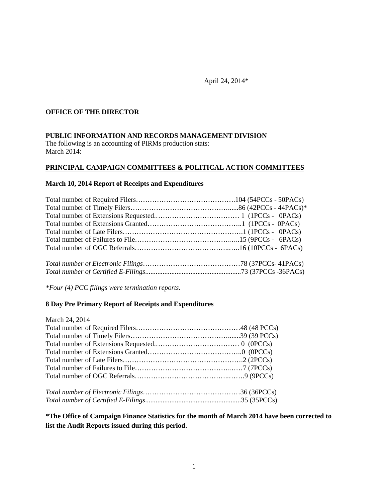April 24, 2014\*

## **OFFICE OF THE DIRECTOR**

#### **PUBLIC INFORMATION AND RECORDS MANAGEMENT DIVISION**

The following is an accounting of PIRMs production stats: March 2014:

#### **PRINCIPAL CAMPAIGN COMMITTEES & POLITICAL ACTION COMMITTEES**

#### **March 10, 2014 Report of Receipts and Expenditures**

*\*Four (4) PCC filings were termination reports.*

## **8 Day Pre Primary Report of Receipts and Expenditures**

| March 24, 2014 |  |
|----------------|--|
|                |  |
|                |  |
|                |  |
|                |  |
|                |  |
|                |  |
|                |  |
|                |  |
|                |  |

**\*The Office of Campaign Finance Statistics for the month of March 2014 have been corrected to list the Audit Reports issued during this period.**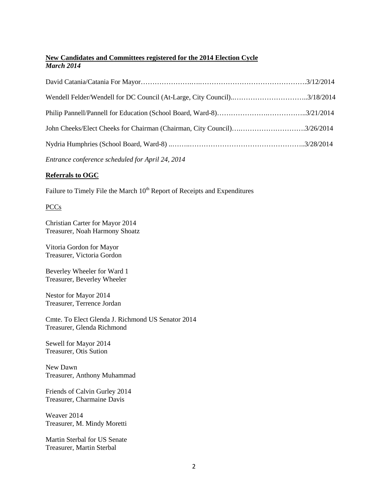## **New Candidates and Committees registered for the 2014 Election Cycle** *March 2014*

| Wendell Felder/Wendell for DC Council (At-Large, City Council)3/18/2014 |  |
|-------------------------------------------------------------------------|--|
|                                                                         |  |
| John Cheeks/Elect Cheeks for Chairman (Chairman, City Council)3/26/2014 |  |
|                                                                         |  |
|                                                                         |  |

*Entrance conference scheduled for April 24, 2014*

## **Referrals to OGC**

Failure to Timely File the March 10<sup>th</sup> Report of Receipts and Expenditures

## PCCs

Christian Carter for Mayor 2014 Treasurer, Noah Harmony Shoatz

Vitoria Gordon for Mayor Treasurer, Victoria Gordon

Beverley Wheeler for Ward 1 Treasurer, Beverley Wheeler

Nestor for Mayor 2014 Treasurer, Terrence Jordan

Cmte. To Elect Glenda J. Richmond US Senator 2014 Treasurer, Glenda Richmond

Sewell for Mayor 2014 Treasurer, Otis Sution

New Dawn Treasurer, Anthony Muhammad

Friends of Calvin Gurley 2014 Treasurer, Charmaine Davis

Weaver 2014 Treasurer, M. Mindy Moretti

Martin Sterbal for US Senate Treasurer, Martin Sterbal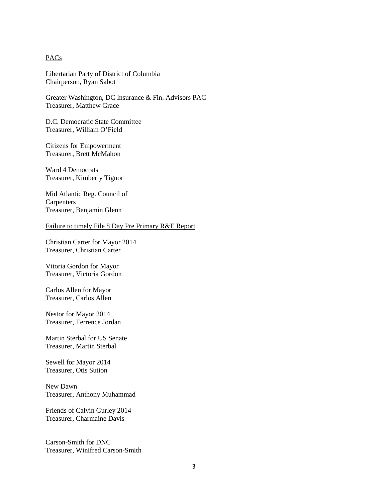### **PACs**

Libertarian Party of District of Columbia Chairperson, Ryan Sabot

Greater Washington, DC Insurance & Fin. Advisors PAC Treasurer, Matthew Grace

D.C. Democratic State Committee Treasurer, William O'Field

Citizens for Empowerment Treasurer, Brett McMahon

Ward 4 Democrats Treasurer, Kimberly Tignor

Mid Atlantic Reg. Council of **Carpenters** Treasurer, Benjamin Glenn

#### Failure to timely File 8 Day Pre Primary R&E Report

Christian Carter for Mayor 2014 Treasurer, Christian Carter

Vitoria Gordon for Mayor Treasurer, Victoria Gordon

Carlos Allen for Mayor Treasurer, Carlos Allen

Nestor for Mayor 2014 Treasurer, Terrence Jordan

Martin Sterbal for US Senate Treasurer, Martin Sterbal

Sewell for Mayor 2014 Treasurer, Otis Sution

New Dawn Treasurer, Anthony Muhammad

Friends of Calvin Gurley 2014 Treasurer, Charmaine Davis

Carson-Smith for DNC Treasurer, Winifred Carson-Smith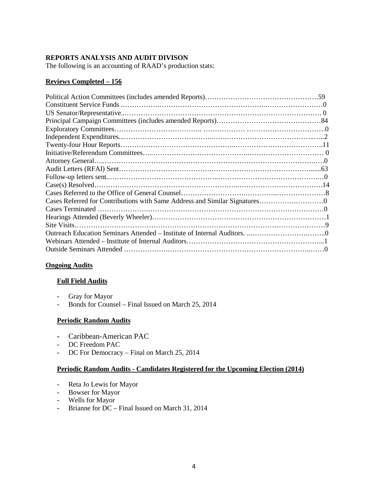## **REPORTS ANALYSIS AND AUDIT DIVISON**

The following is an accounting of RAAD's production stats:

## **Reviews Completed – 156**

## **Ongoing Audits**

#### **Full Field Audits**

- **-** Gray for Mayor
- **-** Bonds for Counsel Final Issued on March 25, 2014

## **Periodic Random Audits**

- **-** Caribbean-American PAC
- **-** DC Freedom PAC
- **-** DC For Democracy Final on March 25, 2014

#### **Periodic Random Audits - Candidates Registered for the Upcoming Election (2014)**

- **-** Reta Jo Lewis for Mayor
- **-** Bowser for Mayor
- **-** Wells for Mayor
- **-** Brianne for DC Final Issued on March 31, 2014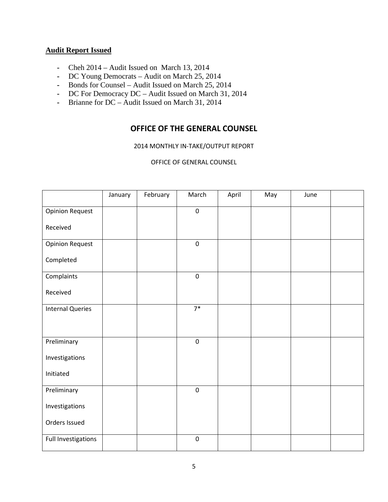## **Audit Report Issued**

- **-** Cheh 2014 Audit Issued on March 13, 2014
- **-** DC Young Democrats Audit on March 25, 2014
- **-** Bonds for Counsel Audit Issued on March 25, 2014
- **-** DC For Democracy DC Audit Issued on March 31, 2014
- **-** Brianne for DC Audit Issued on March 31, 2014

## **OFFICE OF THE GENERAL COUNSEL**

2014 MONTHLY IN-TAKE/OUTPUT REPORT

OFFICE OF GENERAL COUNSEL

|                         | January | February | March            | April | May | June |  |
|-------------------------|---------|----------|------------------|-------|-----|------|--|
| <b>Opinion Request</b>  |         |          | $\pmb{0}$        |       |     |      |  |
| Received                |         |          |                  |       |     |      |  |
| <b>Opinion Request</b>  |         |          | $\boldsymbol{0}$ |       |     |      |  |
| Completed               |         |          |                  |       |     |      |  |
| Complaints              |         |          | $\boldsymbol{0}$ |       |     |      |  |
| Received                |         |          |                  |       |     |      |  |
| <b>Internal Queries</b> |         |          | $7*$             |       |     |      |  |
|                         |         |          |                  |       |     |      |  |
| Preliminary             |         |          | $\pmb{0}$        |       |     |      |  |
| Investigations          |         |          |                  |       |     |      |  |
| Initiated               |         |          |                  |       |     |      |  |
| Preliminary             |         |          | $\pmb{0}$        |       |     |      |  |
| Investigations          |         |          |                  |       |     |      |  |
| Orders Issued           |         |          |                  |       |     |      |  |
| Full Investigations     |         |          | $\pmb{0}$        |       |     |      |  |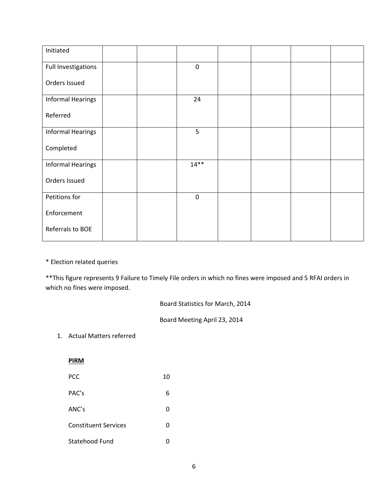| Initiated                |  |           |  |  |
|--------------------------|--|-----------|--|--|
| Full Investigations      |  | $\pmb{0}$ |  |  |
| Orders Issued            |  |           |  |  |
| <b>Informal Hearings</b> |  | 24        |  |  |
| Referred                 |  |           |  |  |
| <b>Informal Hearings</b> |  | 5         |  |  |
| Completed                |  |           |  |  |
| <b>Informal Hearings</b> |  | $14**$    |  |  |
| Orders Issued            |  |           |  |  |
| Petitions for            |  | $\pmb{0}$ |  |  |
| Enforcement              |  |           |  |  |
| Referrals to BOE         |  |           |  |  |

\* Election related queries

\*\*This figure represents 9 Failure to Timely File orders in which no fines were imposed and 5 RFAI orders in which no fines were imposed.

Board Statistics for March, 2014

Board Meeting April 23, 2014

1. Actual Matters referred

**PIRM**

| PCC                         | 10 |
|-----------------------------|----|
| PAC's                       | 6  |
| ANC's                       | 0  |
| <b>Constituent Services</b> | 0  |
| Statehood Fund              | ŋ  |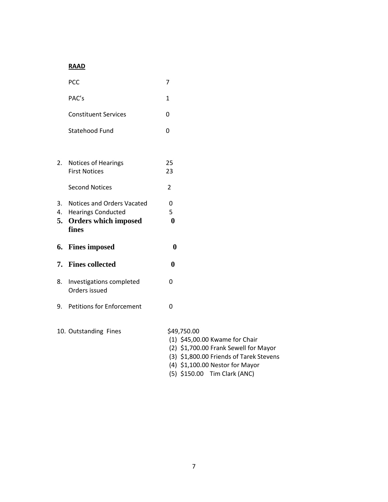## **RAAD**

|          | PCC                                                      | 7                                                                                                                                 |
|----------|----------------------------------------------------------|-----------------------------------------------------------------------------------------------------------------------------------|
|          | PAC's                                                    | $\mathbf{1}$                                                                                                                      |
|          | <b>Constituent Services</b>                              | 0                                                                                                                                 |
|          | Statehood Fund                                           | $\mathbf 0$                                                                                                                       |
|          |                                                          |                                                                                                                                   |
| 2.       | Notices of Hearings                                      | 25                                                                                                                                |
|          | <b>First Notices</b>                                     | 23                                                                                                                                |
|          | <b>Second Notices</b>                                    | $\overline{2}$                                                                                                                    |
| 3.       | <b>Notices and Orders Vacated</b>                        | 0                                                                                                                                 |
| 4.<br>5. | <b>Hearings Conducted</b><br><b>Orders which imposed</b> | 5<br>$\boldsymbol{0}$                                                                                                             |
|          | fines                                                    |                                                                                                                                   |
| 6.       | <b>Fines imposed</b>                                     | $\bf{0}$                                                                                                                          |
| 7.       | <b>Fines collected</b>                                   | $\bf{0}$                                                                                                                          |
| 8.       | Investigations completed<br>Orders issued                | 0                                                                                                                                 |
| 9.       | <b>Petitions for Enforcement</b>                         | 0                                                                                                                                 |
|          | 10. Outstanding Fines                                    | \$49,750.00<br>(1) \$45,00.00 Kwame for Chair<br>(2) \$1,700.00 Frank Sewell for Mayor<br>(3) \$1,800.00 Friends of Tarek Stevens |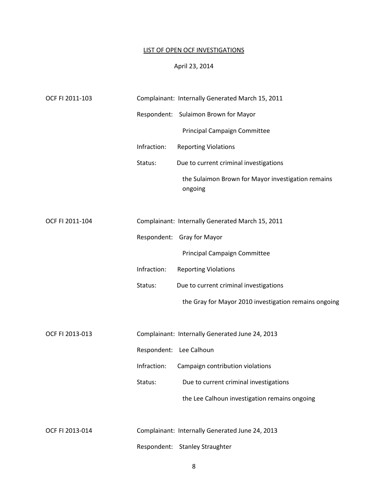# LIST OF OPEN OCF INVESTIGATIONS

## April 23, 2014

| OCF FI 2011-103 |             | Complainant: Internally Generated March 15, 2011              |
|-----------------|-------------|---------------------------------------------------------------|
|                 |             | Respondent: Sulaimon Brown for Mayor                          |
|                 |             | Principal Campaign Committee                                  |
|                 | Infraction: | <b>Reporting Violations</b>                                   |
|                 | Status:     | Due to current criminal investigations                        |
|                 |             | the Sulaimon Brown for Mayor investigation remains<br>ongoing |
| OCF FI 2011-104 |             | Complainant: Internally Generated March 15, 2011              |
|                 |             | Respondent: Gray for Mayor                                    |
|                 |             | Principal Campaign Committee                                  |
|                 | Infraction: | <b>Reporting Violations</b>                                   |
|                 | Status:     | Due to current criminal investigations                        |
|                 |             | the Gray for Mayor 2010 investigation remains ongoing         |
| OCF FI 2013-013 |             | Complainant: Internally Generated June 24, 2013               |
|                 |             | Respondent: Lee Calhoun                                       |
|                 | Infraction: | Campaign contribution violations                              |
|                 | Status:     | Due to current criminal investigations                        |
|                 |             | the Lee Calhoun investigation remains ongoing                 |
| OCF FI 2013-014 |             | Complainant: Internally Generated June 24, 2013               |
|                 |             | Respondent: Stanley Straughter                                |